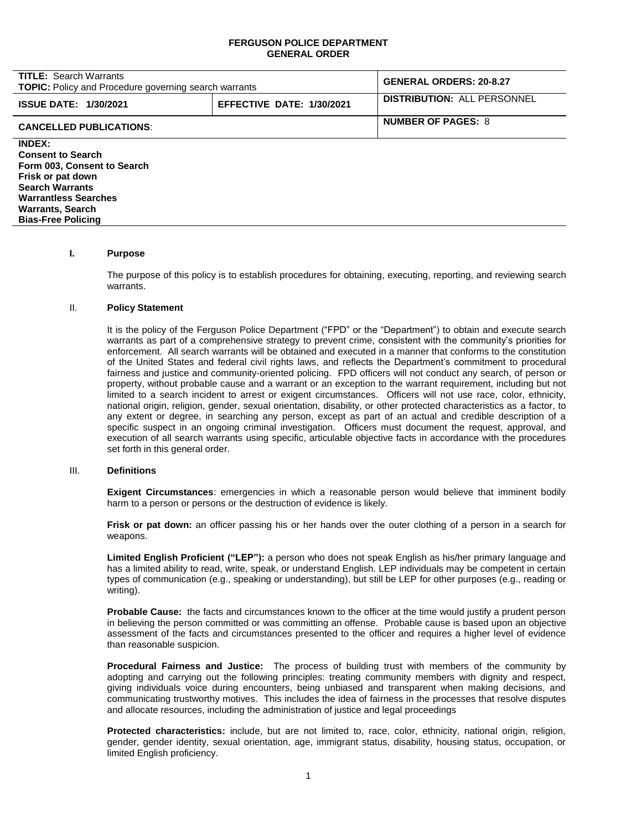### **FERGUSON POLICE DEPARTMENT GENERAL ORDER**

| <b>TITLE: Search Warrants</b><br><b>TOPIC:</b> Policy and Procedure governing search warrants |                           | <b>GENERAL ORDERS: 20-8.27</b>     |
|-----------------------------------------------------------------------------------------------|---------------------------|------------------------------------|
| <b>ISSUE DATE: 1/30/2021</b>                                                                  | EFFECTIVE DATE: 1/30/2021 | <b>DISTRIBUTION: ALL PERSONNEL</b> |
| <b>CANCELLED PUBLICATIONS:</b>                                                                |                           | <b>NUMBER OF PAGES: 8</b>          |
| <b>INDEX:</b>                                                                                 |                           |                                    |
| <b>Consent to Search</b>                                                                      |                           |                                    |
| Form 003, Consent to Search                                                                   |                           |                                    |
| Frisk or pat down                                                                             |                           |                                    |
| <b>Search Warrants</b>                                                                        |                           |                                    |
| <b>Warrantless Searches</b>                                                                   |                           |                                    |

# **I. Purpose**

**Warrants, Search Bias-Free Policing**

> The purpose of this policy is to establish procedures for obtaining, executing, reporting, and reviewing search warrants.

#### II. **Policy Statement**

It is the policy of the Ferguson Police Department ("FPD" or the "Department") to obtain and execute search warrants as part of a comprehensive strategy to prevent crime, consistent with the community's priorities for enforcement. All search warrants will be obtained and executed in a manner that conforms to the constitution of the United States and federal civil rights laws, and reflects the Department's commitment to procedural fairness and justice and community-oriented policing. FPD officers will not conduct any search, of person or property, without probable cause and a warrant or an exception to the warrant requirement, including but not limited to a search incident to arrest or exigent circumstances. Officers will not use race, color, ethnicity, national origin, religion, gender, sexual orientation, disability, or other protected characteristics as a factor, to any extent or degree, in searching any person, except as part of an actual and credible description of a specific suspect in an ongoing criminal investigation. Officers must document the request, approval, and execution of all search warrants using specific, articulable objective facts in accordance with the procedures set forth in this general order.

#### III. **Definitions**

**Exigent Circumstances**: emergencies in which a reasonable person would believe that imminent bodily harm to a person or persons or the destruction of evidence is likely.

**Frisk or pat down:** an officer passing his or her hands over the outer clothing of a person in a search for weapons.

**Limited English Proficient ("LEP"):** a person who does not speak English as his/her primary language and has a limited ability to read, write, speak, or understand English. LEP individuals may be competent in certain types of communication (e.g., speaking or understanding), but still be LEP for other purposes (e.g., reading or writing).

**Probable Cause:** the facts and circumstances known to the officer at the time would justify a prudent person in believing the person committed or was committing an offense. Probable cause is based upon an objective assessment of the facts and circumstances presented to the officer and requires a higher level of evidence than reasonable suspicion.

**Procedural Fairness and Justice:** The process of building trust with members of the community by adopting and carrying out the following principles: treating community members with dignity and respect, giving individuals voice during encounters, being unbiased and transparent when making decisions, and communicating trustworthy motives. This includes the idea of fairness in the processes that resolve disputes and allocate resources, including the administration of justice and legal proceedings

**Protected characteristics:** include, but are not limited to, race, color, ethnicity, national origin, religion, gender, gender identity, sexual orientation, age, immigrant status, disability, housing status, occupation, or limited English proficiency.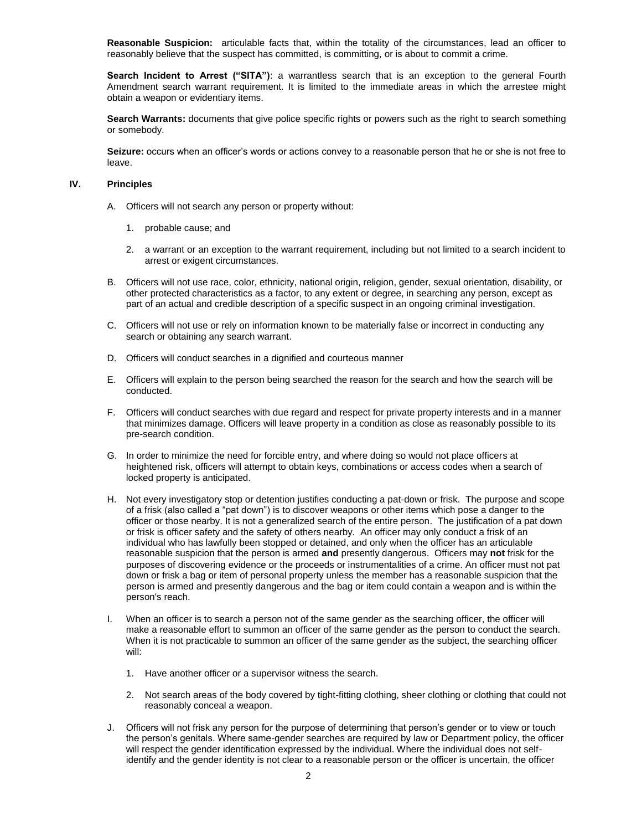**Reasonable Suspicion:** articulable facts that, within the totality of the circumstances, lead an officer to reasonably believe that the suspect has committed, is committing, or is about to commit a crime.

**Search Incident to Arrest ("SITA")**: a warrantless search that is an exception to the general Fourth Amendment search warrant requirement. It is limited to the immediate areas in which the arrestee might obtain a weapon or evidentiary items.

**Search Warrants:** documents that give police specific rights or powers such as the right to search something or somebody.

**Seizure:** occurs when an officer's words or actions convey to a reasonable person that he or she is not free to leave.

### **IV. Principles**

- A. Officers will not search any person or property without:
	- 1. probable cause; and
	- 2. a warrant or an exception to the warrant requirement, including but not limited to a search incident to arrest or exigent circumstances.
- B. Officers will not use race, color, ethnicity, national origin, religion, gender, sexual orientation, disability, or other protected characteristics as a factor, to any extent or degree, in searching any person, except as part of an actual and credible description of a specific suspect in an ongoing criminal investigation.
- C. Officers will not use or rely on information known to be materially false or incorrect in conducting any search or obtaining any search warrant.
- D. Officers will conduct searches in a dignified and courteous manner
- E. Officers will explain to the person being searched the reason for the search and how the search will be conducted.
- F. Officers will conduct searches with due regard and respect for private property interests and in a manner that minimizes damage. Officers will leave property in a condition as close as reasonably possible to its pre-search condition.
- G. In order to minimize the need for forcible entry, and where doing so would not place officers at heightened risk, officers will attempt to obtain keys, combinations or access codes when a search of locked property is anticipated.
- H. Not every investigatory stop or detention justifies conducting a pat-down or frisk. The purpose and scope of a frisk (also called a "pat down") is to discover weapons or other items which pose a danger to the officer or those nearby. It is not a generalized search of the entire person. The justification of a pat down or frisk is officer safety and the safety of others nearby. An officer may only conduct a frisk of an individual who has lawfully been stopped or detained, and only when the officer has an articulable reasonable suspicion that the person is armed **and** presently dangerous. Officers may **not** frisk for the purposes of discovering evidence or the proceeds or instrumentalities of a crime. An officer must not pat down or frisk a bag or item of personal property unless the member has a reasonable suspicion that the person is armed and presently dangerous and the bag or item could contain a weapon and is within the person's reach.
- I. When an officer is to search a person not of the same gender as the searching officer, the officer will make a reasonable effort to summon an officer of the same gender as the person to conduct the search. When it is not practicable to summon an officer of the same gender as the subject, the searching officer will:
	- 1. Have another officer or a supervisor witness the search.
	- 2. Not search areas of the body covered by tight-fitting clothing, sheer clothing or clothing that could not reasonably conceal a weapon.
- J. Officers will not frisk any person for the purpose of determining that person's gender or to view or touch the person's genitals. Where same-gender searches are required by law or Department policy, the officer will respect the gender identification expressed by the individual. Where the individual does not selfidentify and the gender identity is not clear to a reasonable person or the officer is uncertain, the officer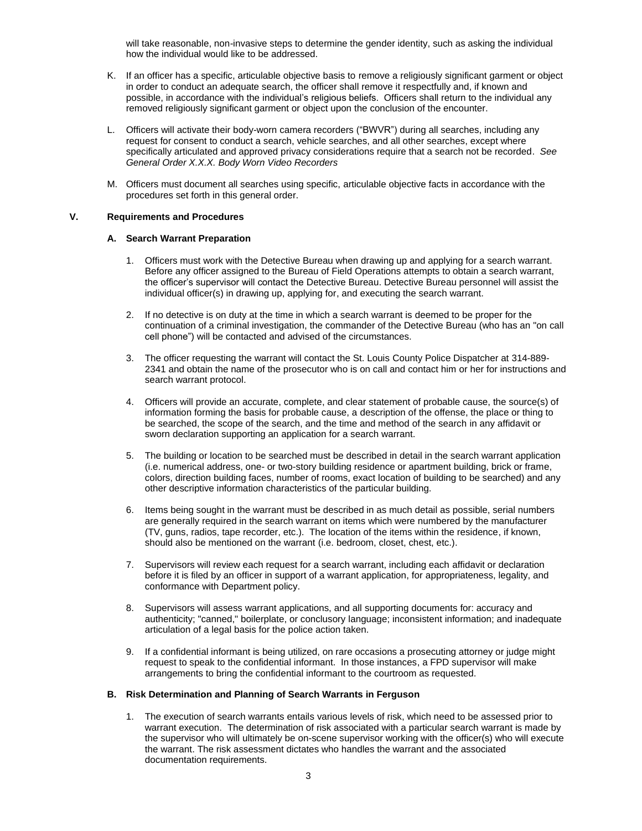will take reasonable, non-invasive steps to determine the gender identity, such as asking the individual how the individual would like to be addressed.

- K. If an officer has a specific, articulable objective basis to remove a religiously significant garment or object in order to conduct an adequate search, the officer shall remove it respectfully and, if known and possible, in accordance with the individual's religious beliefs. Officers shall return to the individual any removed religiously significant garment or object upon the conclusion of the encounter.
- L. Officers will activate their body-worn camera recorders ("BWVR") during all searches, including any request for consent to conduct a search, vehicle searches, and all other searches, except where specifically articulated and approved privacy considerations require that a search not be recorded. *See General Order X.X.X. Body Worn Video Recorders*
- M. Officers must document all searches using specific, articulable objective facts in accordance with the procedures set forth in this general order.

# **V. Requirements and Procedures**

### **A. Search Warrant Preparation**

- 1. Officers must work with the Detective Bureau when drawing up and applying for a search warrant. Before any officer assigned to the Bureau of Field Operations attempts to obtain a search warrant, the officer's supervisor will contact the Detective Bureau. Detective Bureau personnel will assist the individual officer(s) in drawing up, applying for, and executing the search warrant.
- 2. If no detective is on duty at the time in which a search warrant is deemed to be proper for the continuation of a criminal investigation, the commander of the Detective Bureau (who has an "on call cell phone") will be contacted and advised of the circumstances.
- 3. The officer requesting the warrant will contact the St. Louis County Police Dispatcher at 314-889- 2341 and obtain the name of the prosecutor who is on call and contact him or her for instructions and search warrant protocol.
- 4. Officers will provide an accurate, complete, and clear statement of probable cause, the source(s) of information forming the basis for probable cause, a description of the offense, the place or thing to be searched, the scope of the search, and the time and method of the search in any affidavit or sworn declaration supporting an application for a search warrant.
- 5. The building or location to be searched must be described in detail in the search warrant application (i.e. numerical address, one- or two-story building residence or apartment building, brick or frame, colors, direction building faces, number of rooms, exact location of building to be searched) and any other descriptive information characteristics of the particular building.
- 6. Items being sought in the warrant must be described in as much detail as possible, serial numbers are generally required in the search warrant on items which were numbered by the manufacturer (TV, guns, radios, tape recorder, etc.). The location of the items within the residence, if known, should also be mentioned on the warrant (i.e. bedroom, closet, chest, etc.).
- 7. Supervisors will review each request for a search warrant, including each affidavit or declaration before it is filed by an officer in support of a warrant application, for appropriateness, legality, and conformance with Department policy.
- 8. Supervisors will assess warrant applications, and all supporting documents for: accuracy and authenticity; "canned," boilerplate, or conclusory language; inconsistent information; and inadequate articulation of a legal basis for the police action taken.
- 9. If a confidential informant is being utilized, on rare occasions a prosecuting attorney or judge might request to speak to the confidential informant. In those instances, a FPD supervisor will make arrangements to bring the confidential informant to the courtroom as requested.

#### **B. Risk Determination and Planning of Search Warrants in Ferguson**

1. The execution of search warrants entails various levels of risk, which need to be assessed prior to warrant execution. The determination of risk associated with a particular search warrant is made by the supervisor who will ultimately be on-scene supervisor working with the officer(s) who will execute the warrant. The risk assessment dictates who handles the warrant and the associated documentation requirements.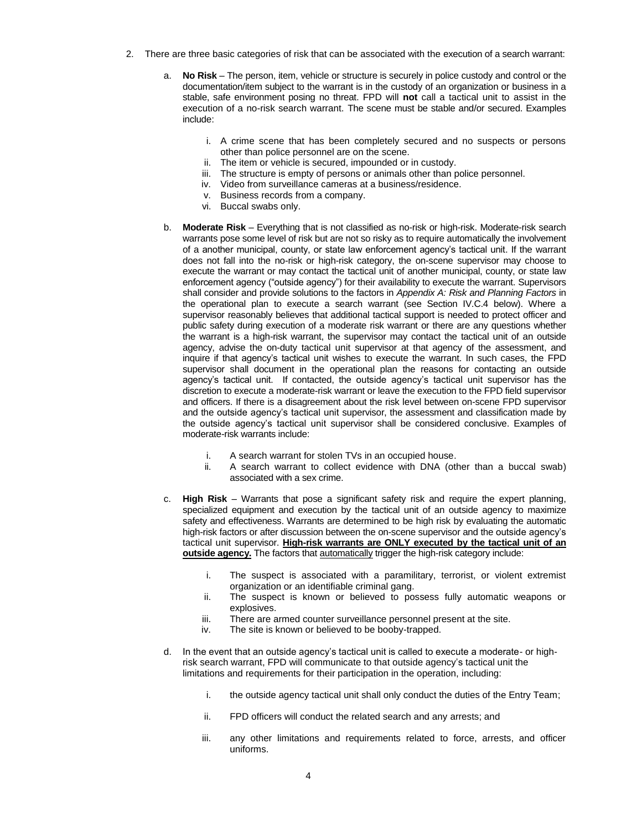- 2. There are three basic categories of risk that can be associated with the execution of a search warrant:
	- a. **No Risk** The person, item, vehicle or structure is securely in police custody and control or the documentation/item subject to the warrant is in the custody of an organization or business in a stable, safe environment posing no threat. FPD will **not** call a tactical unit to assist in the execution of a no-risk search warrant. The scene must be stable and/or secured. Examples include:
		- i. A crime scene that has been completely secured and no suspects or persons other than police personnel are on the scene.
		- ii. The item or vehicle is secured, impounded or in custody.
		- iii. The structure is empty of persons or animals other than police personnel.
		- iv. Video from surveillance cameras at a business/residence.
		- v. Business records from a company.
		- vi. Buccal swabs only.
	- b. **Moderate Risk**  Everything that is not classified as no-risk or high-risk. Moderate-risk search warrants pose some level of risk but are not so risky as to require automatically the involvement of a another municipal, county, or state law enforcement agency's tactical unit. If the warrant does not fall into the no-risk or high-risk category, the on-scene supervisor may choose to execute the warrant or may contact the tactical unit of another municipal, county, or state law enforcement agency ("outside agency") for their availability to execute the warrant. Supervisors shall consider and provide solutions to the factors in *Appendix A: Risk and Planning Factors* in the operational plan to execute a search warrant (see Section IV.C.4 below). Where a supervisor reasonably believes that additional tactical support is needed to protect officer and public safety during execution of a moderate risk warrant or there are any questions whether the warrant is a high-risk warrant, the supervisor may contact the tactical unit of an outside agency, advise the on-duty tactical unit supervisor at that agency of the assessment, and inquire if that agency's tactical unit wishes to execute the warrant. In such cases, the FPD supervisor shall document in the operational plan the reasons for contacting an outside agency's tactical unit. If contacted, the outside agency's tactical unit supervisor has the discretion to execute a moderate-risk warrant or leave the execution to the FPD field supervisor and officers. If there is a disagreement about the risk level between on-scene FPD supervisor and the outside agency's tactical unit supervisor, the assessment and classification made by the outside agency's tactical unit supervisor shall be considered conclusive. Examples of moderate-risk warrants include:
		- i. A search warrant for stolen TVs in an occupied house.
		- ii. A search warrant to collect evidence with DNA (other than a buccal swab) associated with a sex crime.
	- c. **High Risk**  Warrants that pose a significant safety risk and require the expert planning, specialized equipment and execution by the tactical unit of an outside agency to maximize safety and effectiveness. Warrants are determined to be high risk by evaluating the automatic high-risk factors or after discussion between the on-scene supervisor and the outside agency's tactical unit supervisor. **High-risk warrants are ONLY executed by the tactical unit of an outside agency.** The factors that automatically trigger the high-risk category include:
		- i. The suspect is associated with a paramilitary, terrorist, or violent extremist organization or an identifiable criminal gang.
		- ii. The suspect is known or believed to possess fully automatic weapons or explosives.
		- iii. There are armed counter surveillance personnel present at the site.
		- iv. The site is known or believed to be booby-trapped.
	- d. In the event that an outside agency's tactical unit is called to execute a moderate- or highrisk search warrant, FPD will communicate to that outside agency's tactical unit the limitations and requirements for their participation in the operation, including:
		- i. the outside agency tactical unit shall only conduct the duties of the Entry Team;
		- ii. FPD officers will conduct the related search and any arrests; and
		- iii. any other limitations and requirements related to force, arrests, and officer uniforms.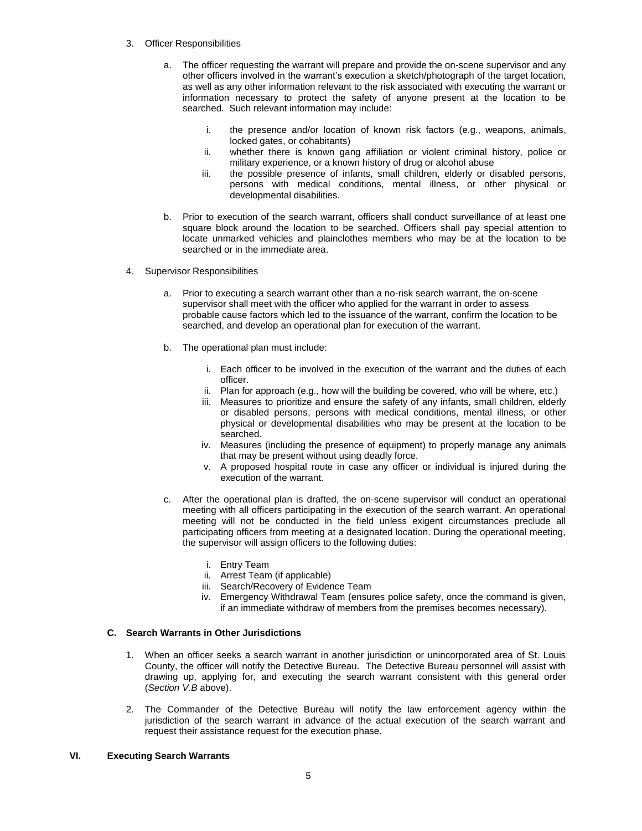- 3. Officer Responsibilities
	- a. The officer requesting the warrant will prepare and provide the on-scene supervisor and any other officers involved in the warrant's execution a sketch/photograph of the target location, as well as any other information relevant to the risk associated with executing the warrant or information necessary to protect the safety of anyone present at the location to be searched. Such relevant information may include:
		- i. the presence and/or location of known risk factors (e.g., weapons, animals, locked gates, or cohabitants)
		- ii. whether there is known gang affiliation or violent criminal history, police or military experience, or a known history of drug or alcohol abuse
		- iii. the possible presence of infants, small children, elderly or disabled persons, persons with medical conditions, mental illness, or other physical or developmental disabilities.
	- b. Prior to execution of the search warrant, officers shall conduct surveillance of at least one square block around the location to be searched. Officers shall pay special attention to locate unmarked vehicles and plainclothes members who may be at the location to be searched or in the immediate area.
- 4. Supervisor Responsibilities
	- a. Prior to executing a search warrant other than a no-risk search warrant, the on-scene supervisor shall meet with the officer who applied for the warrant in order to assess probable cause factors which led to the issuance of the warrant, confirm the location to be searched, and develop an operational plan for execution of the warrant.
	- b. The operational plan must include:
		- i. Each officer to be involved in the execution of the warrant and the duties of each officer.
		- ii. Plan for approach (e.g., how will the building be covered, who will be where, etc.)
		- iii. Measures to prioritize and ensure the safety of any infants, small children, elderly or disabled persons, persons with medical conditions, mental illness, or other physical or developmental disabilities who may be present at the location to be searched.
		- iv. Measures (including the presence of equipment) to properly manage any animals that may be present without using deadly force.
		- v. A proposed hospital route in case any officer or individual is injured during the execution of the warrant.
	- c. After the operational plan is drafted, the on-scene supervisor will conduct an operational meeting with all officers participating in the execution of the search warrant. An operational meeting will not be conducted in the field unless exigent circumstances preclude all participating officers from meeting at a designated location. During the operational meeting, the supervisor will assign officers to the following duties:
		- i. Entry Team
		- ii. Arrest Team (if applicable)
		- iii. Search/Recovery of Evidence Team
		- iv. Emergency Withdrawal Team (ensures police safety, once the command is given, if an immediate withdraw of members from the premises becomes necessary).

# **C. Search Warrants in Other Jurisdictions**

- 1. When an officer seeks a search warrant in another jurisdiction or unincorporated area of St. Louis County, the officer will notify the Detective Bureau. The Detective Bureau personnel will assist with drawing up, applying for, and executing the search warrant consistent with this general order (*Section V.B* above).
- 2. The Commander of the Detective Bureau will notify the law enforcement agency within the jurisdiction of the search warrant in advance of the actual execution of the search warrant and request their assistance request for the execution phase.

# **VI. Executing Search Warrants**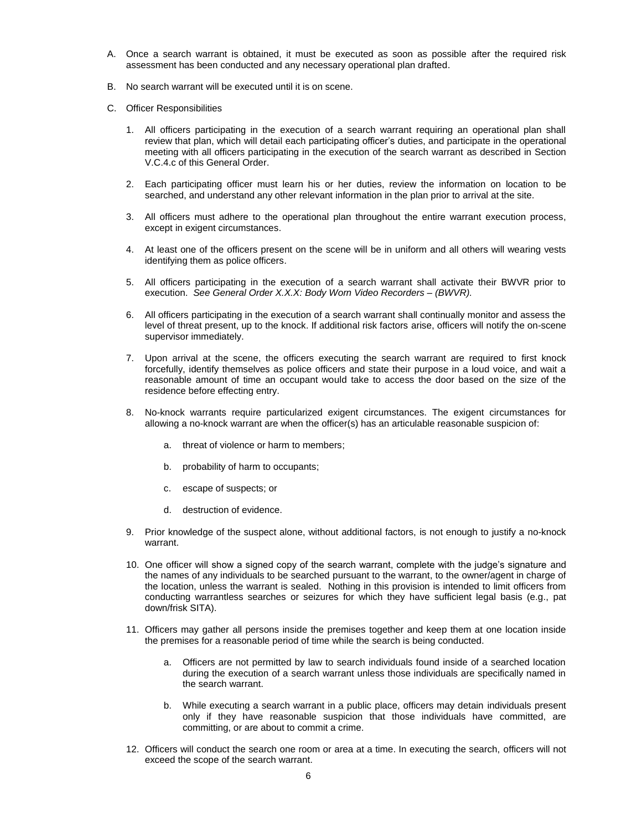- A. Once a search warrant is obtained, it must be executed as soon as possible after the required risk assessment has been conducted and any necessary operational plan drafted.
- B. No search warrant will be executed until it is on scene.
- C. Officer Responsibilities
	- 1. All officers participating in the execution of a search warrant requiring an operational plan shall review that plan, which will detail each participating officer's duties, and participate in the operational meeting with all officers participating in the execution of the search warrant as described in Section V.C.4.c of this General Order.
	- 2. Each participating officer must learn his or her duties, review the information on location to be searched, and understand any other relevant information in the plan prior to arrival at the site.
	- 3. All officers must adhere to the operational plan throughout the entire warrant execution process, except in exigent circumstances.
	- 4. At least one of the officers present on the scene will be in uniform and all others will wearing vests identifying them as police officers.
	- 5. All officers participating in the execution of a search warrant shall activate their BWVR prior to execution. *See General Order X.X.X: Body Worn Video Recorders – (BWVR).*
	- 6. All officers participating in the execution of a search warrant shall continually monitor and assess the level of threat present, up to the knock. If additional risk factors arise, officers will notify the on-scene supervisor immediately.
	- 7. Upon arrival at the scene, the officers executing the search warrant are required to first knock forcefully, identify themselves as police officers and state their purpose in a loud voice, and wait a reasonable amount of time an occupant would take to access the door based on the size of the residence before effecting entry.
	- 8. No-knock warrants require particularized exigent circumstances. The exigent circumstances for allowing a no-knock warrant are when the officer(s) has an articulable reasonable suspicion of:
		- a. threat of violence or harm to members;
		- b. probability of harm to occupants;
		- c. escape of suspects; or
		- d. destruction of evidence.
	- 9. Prior knowledge of the suspect alone, without additional factors, is not enough to justify a no-knock warrant.
	- 10. One officer will show a signed copy of the search warrant, complete with the judge's signature and the names of any individuals to be searched pursuant to the warrant, to the owner/agent in charge of the location, unless the warrant is sealed. Nothing in this provision is intended to limit officers from conducting warrantless searches or seizures for which they have sufficient legal basis (e.g., pat down/frisk SITA).
	- 11. Officers may gather all persons inside the premises together and keep them at one location inside the premises for a reasonable period of time while the search is being conducted.
		- a. Officers are not permitted by law to search individuals found inside of a searched location during the execution of a search warrant unless those individuals are specifically named in the search warrant.
		- b. While executing a search warrant in a public place, officers may detain individuals present only if they have reasonable suspicion that those individuals have committed, are committing, or are about to commit a crime.
	- 12. Officers will conduct the search one room or area at a time. In executing the search, officers will not exceed the scope of the search warrant.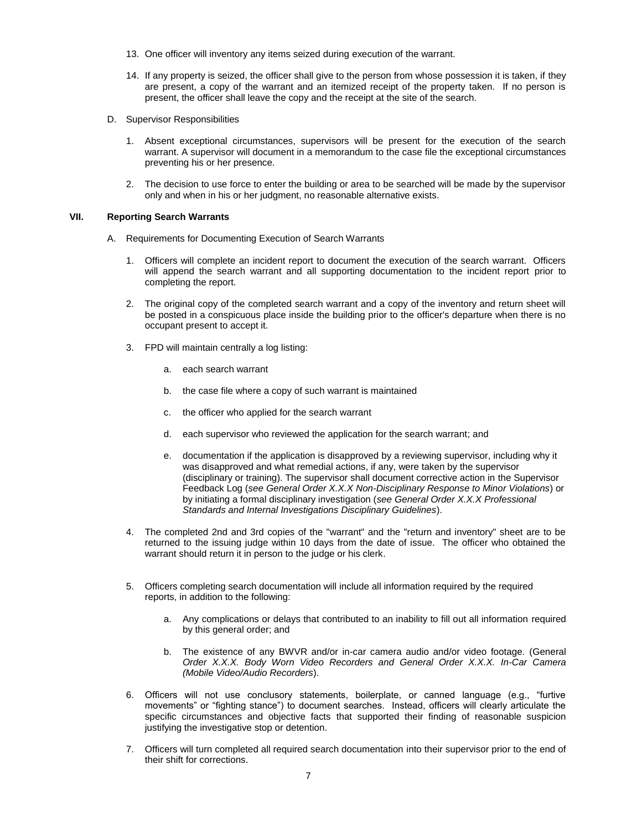- 13. One officer will inventory any items seized during execution of the warrant.
- 14. If any property is seized, the officer shall give to the person from whose possession it is taken, if they are present, a copy of the warrant and an itemized receipt of the property taken. If no person is present, the officer shall leave the copy and the receipt at the site of the search.
- D. Supervisor Responsibilities
	- 1. Absent exceptional circumstances, supervisors will be present for the execution of the search warrant. A supervisor will document in a memorandum to the case file the exceptional circumstances preventing his or her presence.
	- 2. The decision to use force to enter the building or area to be searched will be made by the supervisor only and when in his or her judgment, no reasonable alternative exists.

# **VII. Reporting Search Warrants**

- A. Requirements for Documenting Execution of Search Warrants
	- 1. Officers will complete an incident report to document the execution of the search warrant. Officers will append the search warrant and all supporting documentation to the incident report prior to completing the report.
	- 2. The original copy of the completed search warrant and a copy of the inventory and return sheet will be posted in a conspicuous place inside the building prior to the officer's departure when there is no occupant present to accept it.
	- 3. FPD will maintain centrally a log listing:
		- a. each search warrant
		- b. the case file where a copy of such warrant is maintained
		- c. the officer who applied for the search warrant
		- d. each supervisor who reviewed the application for the search warrant; and
		- e. documentation if the application is disapproved by a reviewing supervisor, including why it was disapproved and what remedial actions, if any, were taken by the supervisor (disciplinary or training). The supervisor shall document corrective action in the Supervisor Feedback Log (*see General Order X.X.X Non-Disciplinary Response to Minor Violations*) or by initiating a formal disciplinary investigation (*see General Order X.X.X Professional Standards and Internal Investigations Disciplinary Guidelines*).
	- 4. The completed 2nd and 3rd copies of the "warrant" and the "return and inventory" sheet are to be returned to the issuing judge within 10 days from the date of issue. The officer who obtained the warrant should return it in person to the judge or his clerk.
	- 5. Officers completing search documentation will include all information required by the required reports, in addition to the following:
		- a. Any complications or delays that contributed to an inability to fill out all information required by this general order; and
		- b. The existence of any BWVR and/or in-car camera audio and/or video footage. (General *Order X.X.X. Body Worn Video Recorders and General Order X.X.X. In-Car Camera (Mobile Video/Audio Recorders*).
	- 6. Officers will not use conclusory statements, boilerplate, or canned language (e.g., "furtive movements" or "fighting stance") to document searches. Instead, officers will clearly articulate the specific circumstances and objective facts that supported their finding of reasonable suspicion justifying the investigative stop or detention.
	- 7. Officers will turn completed all required search documentation into their supervisor prior to the end of their shift for corrections.